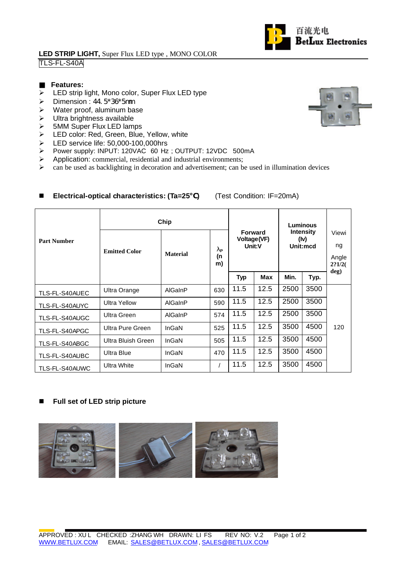### **LED STRIP LIGHT,** Super Flux LED type , MONO COLOR TLS-FL-S40A

### **Features:**

- $\triangleright$  LED strip light, Mono color, Super Flux LED type
- $\triangleright$  Dimension : 44.5\*36\*5mm
- $\triangleright$  Water proof, aluminum base
- $\triangleright$  Ultra brightness available
- > 5MM Super Flux LED lamps<br>> LED color: Red, Green, Blue
- LED color: Red, Green, Blue, Yellow, white
- $\blacktriangleright$  LED service life: 50,000-100,000hrs
- > Power supply: INPUT: 120VAC 60 Hz; OUTPUT: 12VDC 500mA
- $\triangleright$  Application: commercial, residential and industrial environments;
- $\triangleright$  can be used as backlighting in decoration and advertisement; can be used in illumination devices

| <b>Part Number</b> | Chip                 |                 |                                       |                                         |      | Luminous                             |      |                                |
|--------------------|----------------------|-----------------|---------------------------------------|-----------------------------------------|------|--------------------------------------|------|--------------------------------|
|                    | <b>Emitted Color</b> | <b>Material</b> | $\mathbf{I}_{\mathsf{P}}$<br>(n<br>m) | <b>Forward</b><br>Voltage(VF)<br>Unit:V |      | <b>Intensity</b><br>(iv)<br>Unit:mcd |      | Viewi<br>ng<br>Angle<br>2?1/2( |
|                    |                      |                 |                                       | Typ                                     | Max  | Min.                                 | Typ. | deg)                           |
| TLS-FL-S40AUEC     | Ultra Orange         | AlGaInP         | 630                                   | 11.5                                    | 12.5 | 2500                                 | 3500 |                                |
| TLS-FL-S40AUYC     | <b>Ultra Yellow</b>  | AlGaInP         | 590                                   | 11.5                                    | 12.5 | 2500                                 | 3500 |                                |
| TLS-FL-S40AUGC     | <b>Ultra Green</b>   | AlGaInP         | 574                                   | 11.5                                    | 12.5 | 2500                                 | 3500 |                                |
| TLS-FL-S40APGC     | Ultra Pure Green     | InGaN           | 525                                   | 11.5                                    | 12.5 | 3500                                 | 4500 | 120                            |
| TLS-FL-S40ABGC     | Ultra Bluish Green   | InGaN           | 505                                   | 11.5                                    | 12.5 | 3500                                 | 4500 |                                |
| TLS-FL-S40AUBC     | <b>Ultra Blue</b>    | InGaN           | 470                                   | 11.5                                    | 12.5 | 3500                                 | 4500 |                                |
| TLS-FL-S40AUWC     | Ultra White          | InGaN           |                                       | 11.5                                    | 12.5 | 3500                                 | 4500 |                                |

# ■ Electrical-optical characteristics: (Ta=25) (Test Condition: IF=20mA)

#### ■ Full set of LED strip picture